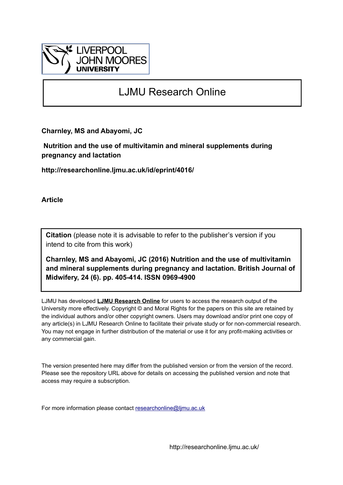

# LJMU Research Online

**Charnley, MS and Abayomi, JC**

 **Nutrition and the use of multivitamin and mineral supplements during pregnancy and lactation**

**http://researchonline.ljmu.ac.uk/id/eprint/4016/**

**Article**

**Citation** (please note it is advisable to refer to the publisher's version if you intend to cite from this work)

**Charnley, MS and Abayomi, JC (2016) Nutrition and the use of multivitamin and mineral supplements during pregnancy and lactation. British Journal of Midwifery, 24 (6). pp. 405-414. ISSN 0969-4900** 

LJMU has developed **[LJMU Research Online](http://researchonline.ljmu.ac.uk/)** for users to access the research output of the University more effectively. Copyright © and Moral Rights for the papers on this site are retained by the individual authors and/or other copyright owners. Users may download and/or print one copy of any article(s) in LJMU Research Online to facilitate their private study or for non-commercial research. You may not engage in further distribution of the material or use it for any profit-making activities or any commercial gain.

The version presented here may differ from the published version or from the version of the record. Please see the repository URL above for details on accessing the published version and note that access may require a subscription.

For more information please contact [researchonline@ljmu.ac.uk](mailto:researchonline@ljmu.ac.uk)

http://researchonline.ljmu.ac.uk/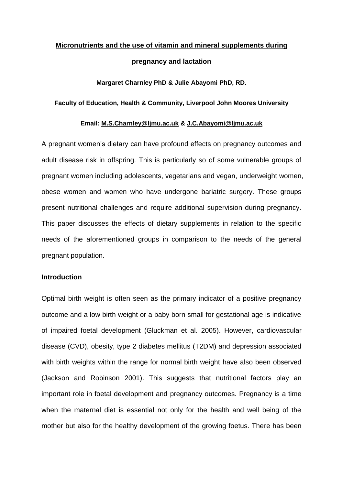# **Micronutrients and the use of vitamin and mineral supplements during pregnancy and lactation**

# **Margaret Charnley PhD & Julie Abayomi PhD, RD.**

# **Faculty of Education, Health & Community, Liverpool John Moores University**

# **Email: [M.S.Charnley@ljmu.ac.uk](mailto:M.S.Charnley@ljmu.ac.uk) & [J.C.Abayomi@ljmu.ac.uk](mailto:J.C.Abayomi@ljmu.ac.uk)**

A pregnant women's dietary can have profound effects on pregnancy outcomes and adult disease risk in offspring. This is particularly so of some vulnerable groups of pregnant women including adolescents, vegetarians and vegan, underweight women, obese women and women who have undergone bariatric surgery. These groups present nutritional challenges and require additional supervision during pregnancy. This paper discusses the effects of dietary supplements in relation to the specific needs of the aforementioned groups in comparison to the needs of the general pregnant population.

# **Introduction**

Optimal birth weight is often seen as the primary indicator of a positive pregnancy outcome and a low birth weight or a baby born small for gestational age is indicative of impaired foetal development (Gluckman et al. 2005). However, cardiovascular disease (CVD), obesity, type 2 diabetes mellitus (T2DM) and depression associated with birth weights within the range for normal birth weight have also been observed (Jackson and Robinson 2001). This suggests that nutritional factors play an important role in foetal development and pregnancy outcomes. Pregnancy is a time when the maternal diet is essential not only for the health and well being of the mother but also for the healthy development of the growing foetus. There has been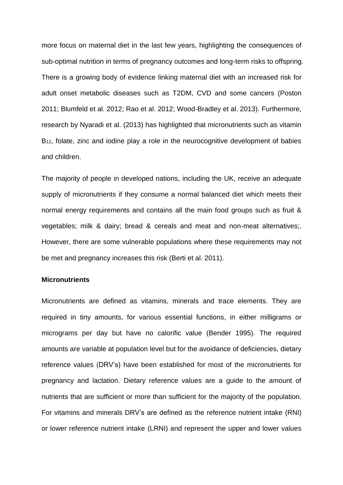more focus on maternal diet in the last few years, highlighting the consequences of sub-optimal nutrition in terms of pregnancy outcomes and long-term risks to offspring. There is a growing body of evidence linking maternal diet with an increased risk for adult onset metabolic diseases such as T2DM, CVD and some cancers (Poston 2011; Blumfeld et al. 2012; Rao et al. 2012; Wood-Bradley et al. 2013). Furthermore, research by Nyaradi et al. (2013) has highlighted that micronutrients such as vitamin B<sub>12</sub>, folate, zinc and iodine play a role in the neurocognitive development of babies and children.

The majority of people in developed nations, including the UK, receive an adequate supply of micronutrients if they consume a normal balanced diet which meets their normal energy requirements and contains all the main food groups such as fruit & vegetables; milk & dairy; bread & cereals and meat and non-meat alternatives;. However, there are some vulnerable populations where these requirements may not be met and pregnancy increases this risk (Berti et al. 2011).

## **Micronutrients**

Micronutrients are defined as vitamins, minerals and trace elements. They are required in tiny amounts, for various essential functions, in either milligrams or micrograms per day but have no calorific value (Bender 1995). The required amounts are variable at population level but for the avoidance of deficiencies, dietary reference values (DRV's) have been established for most of the micronutrients for pregnancy and lactation. Dietary reference values are a guide to the amount of nutrients that are sufficient or more than sufficient for the majority of the population. For vitamins and minerals DRV's are defined as the reference nutrient intake (RNI) or lower reference nutrient intake (LRNI) and represent the upper and lower values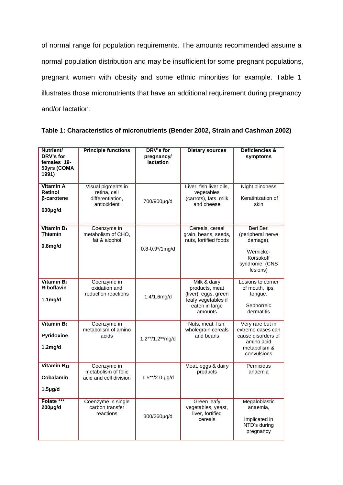of normal range for population requirements. The amounts recommended assume a normal population distribution and may be insufficient for some pregnant populations, pregnant women with obesity and some ethnic minorities for example. Table 1 illustrates those micronutrients that have an additional requirement during pregnancy and/or lactation.

| Nutrient/<br>DRV's for<br>females 19-<br>50yrs (COMA<br>1991) | <b>Principle functions</b>                                            | DRV's for<br>pregnancy/<br><b>lactation</b> | <b>Dietary sources</b>                                                                                     | <b>Deficiencies &amp;</b><br>symptoms                                                                    |
|---------------------------------------------------------------|-----------------------------------------------------------------------|---------------------------------------------|------------------------------------------------------------------------------------------------------------|----------------------------------------------------------------------------------------------------------|
| <b>Vitamin A</b><br>Retinol<br><b>ß-carotene</b><br>600µg/d   | Visual pigments in<br>retina, cell<br>differentiation,<br>antioxident | 700/900µg/d                                 | Liver, fish liver oils,<br>vegetables<br>(carrots), fats. milk<br>and cheese                               | <b>Night blindness</b><br>Keratinization of<br>skin                                                      |
| Vitamin $B_1$<br><b>Thiamin</b><br>0.8 <sub>m</sub> g/d       | Coenzyme in<br>metabolism of CHO,<br>fat & alcohol                    | $0.8 - 0.9*/1$ mg/d                         | Cereals, cereal<br>grain, beans, seeds,<br>nuts, fortified foods                                           | Beri Beri<br>(peripheral nerve<br>damage),<br>Wernicke-<br>Korsakoff<br>syndrome (CNS<br>lesions)        |
| Vitamin B <sub>2</sub><br><b>Riboflavin</b><br>$1.1$ mg/d     | Coenzyme in<br>oxidation and<br>reduction reactions                   | 1.4/1.6mg/d                                 | Milk & dairy<br>products, meat<br>(liver), eggs, green<br>leafy vegetables if<br>eaten in large<br>amounts | Lesions to corner<br>of mouth, lips,<br>tongue.<br>Sebhorreic<br>dermatitis                              |
| Vitamin B <sub>6</sub><br>Pyridoxine<br>1.2 <sub>mg/d</sub>   | Coenzyme in<br>metabolism of amino<br>acids                           | 1.2**/1.2**mg/d                             | Nuts, meat, fish,<br>wholegrain cereals<br>and beans                                                       | Very rare but in<br>extreme cases can<br>cause disorders of<br>amino acid<br>metabolism &<br>convulsions |
| Vitamin B <sub>12</sub><br>Cobalamin<br>$1.5\mug/d$           | Coenzyme in<br>metabolism of folic<br>acid and cell division          | $1.5**/2.0$ µg/d                            | Meat, eggs & dairy<br>products                                                                             | Pernicious<br>anaemia                                                                                    |
| Folate ***<br>$200 \mu g/d$                                   | Coenzyme in single<br>carbon transfer<br>reactions                    | 300/260µg/d                                 | Green leafy<br>vegetables, yeast,<br>liver, fortified<br>cereals                                           | Megaloblastic<br>anaemia,<br>Implicated in<br>NTD's during<br>pregnancy                                  |

| Table 1: Characteristics of micronutrients (Bender 2002, Strain and Cashman 2002) |  |
|-----------------------------------------------------------------------------------|--|
|-----------------------------------------------------------------------------------|--|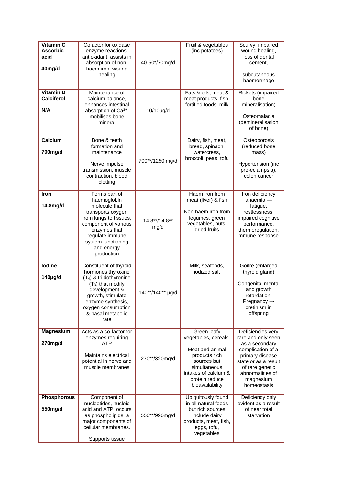| Vitamin C<br><b>Ascorbic</b><br>acid<br>40mg/d | Cofactor for oxidase<br>enzyme reactions,<br>antioxidant, assists in<br>absorption of non-<br>haem iron, wound<br>healing                                                                                                | 40-50*/70mg/d         | Fruit & vegetables<br>(inc potatoes)                                                                                                                                | Scurvy, impaired<br>wound healing,<br>loss of dental<br>cement.<br>subcutaneous<br>haemorrhage                                                                                               |
|------------------------------------------------|--------------------------------------------------------------------------------------------------------------------------------------------------------------------------------------------------------------------------|-----------------------|---------------------------------------------------------------------------------------------------------------------------------------------------------------------|----------------------------------------------------------------------------------------------------------------------------------------------------------------------------------------------|
| <b>Vitamin D</b><br>Calciferol<br>N/A          | Maintenance of<br>calcium balance.<br>enhances intestinal<br>absorption of Ca <sup>2+</sup> ,<br>mobilises bone<br>mineral                                                                                               | 10/10µg/d             | Fats & oils, meat &<br>meat products, fish,<br>fortified foods, milk                                                                                                | Rickets (impaired<br>bone<br>mineralisation)<br>Osteomalacia<br>(demineralisation<br>of bone)                                                                                                |
| Calcium<br>700mg/d                             | Bone & teeth<br>formation and<br>maintenance<br>Nerve impulse<br>transmission, muscle<br>contraction, blood<br>clotting                                                                                                  | 700**/1250 mg/d       | Dairy, fish, meat,<br>bread, spinach,<br>watercress,<br>broccoli, peas, tofu                                                                                        | Osteoporosis<br>(reduced bone<br>mass)<br>Hypertension (inc<br>pre-eclampsia),<br>colon cancer                                                                                               |
| <b>Iron</b><br>14.8mg/d                        | Forms part of<br>haemoglobin<br>molecule that<br>transports oxygen<br>from lungs to tissues,<br>component of various<br>enzymes that<br>regulate immune<br>system functioning<br>and energy<br>production                | 14.8**/14.8**<br>mg/d | Haem iron from<br>meat (liver) & fish<br>Non-haem iron from<br>legumes, green<br>vegetables, nuts,<br>dried fruits                                                  | Iron deficiency<br>anaemia $\rightarrow$<br>fatigue,<br>restlessness,<br>impaired cognitive<br>performance,<br>thermoregulation,<br>immune response.                                         |
| lodine<br>$140$ µg/d                           | Constituent of thyroid<br>hormones thyroxine<br>(T <sub>4</sub> ) & triidothyronine<br>$(T_3)$ that modify<br>development &<br>growth, stimulate<br>enzyme synthesis,<br>oxygen consumption<br>& basal metabolic<br>rate | 140**/140** µg/d      | Milk, seafoods,<br>iodized salt                                                                                                                                     | Goitre (enlarged<br>thyroid gland)<br>Congenital mental<br>and growth<br>retardation.<br>Pregnancy $\rightarrow$<br>cretinism in<br>offspring                                                |
| <b>Magnesium</b><br>270mg/d                    | Acts as a co-factor for<br>enzymes requiring<br>ATP<br>Maintains electrical<br>potential in nerve and<br>muscle membranes                                                                                                | 270**/320mg/d         | Green leafy<br>vegetables, cereals.<br>Meat and animal<br>products rich<br>sources but<br>simultaneous<br>intakes of calcium &<br>protein reduce<br>bioavailability | Deficiencies very<br>rare and only seen<br>as a secondary<br>complication of a<br>primary disease<br>state or as a result<br>of rare genetic<br>abnormalities of<br>magnesium<br>homeostasis |
| <b>Phosphorous</b><br>550mg/d                  | Component of<br>nucleotides, nucleic<br>acid and ATP; occurs<br>as phospholipids, a<br>major components of<br>cellular membranes.<br>Supports tissue                                                                     | 550**/990mg/d         | Ubiquitously found<br>in all natural foods<br>but rich sources<br>include dairy<br>products, meat, fish,<br>eggs, tofu,<br>vegetables                               | Deficiency only<br>evident as a result<br>of near total<br>starvation                                                                                                                        |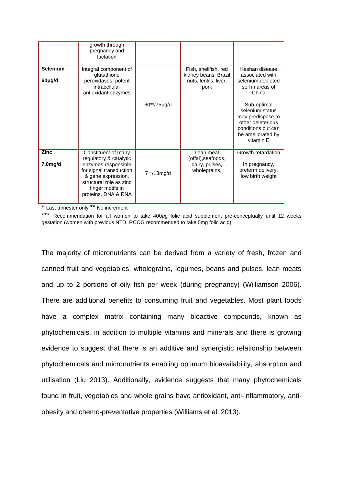|                           | growth through<br>pregnancy and<br>lactation                                                                                                                                                |               |                                                                               |                                                                                                                       |
|---------------------------|---------------------------------------------------------------------------------------------------------------------------------------------------------------------------------------------|---------------|-------------------------------------------------------------------------------|-----------------------------------------------------------------------------------------------------------------------|
| <b>Selenium</b><br>60µg/d | Integral component of<br>glutathione<br>peroxidases, potent<br>intracellular<br>antioxidant enzymes                                                                                         | 60**/75µg/d   | Fish, shellfish, red<br>kidney beans, Brazil<br>nuts, lentils, liver,<br>pork | Keshan disease<br>associated with<br>selenium depleted<br>soil in areas of<br>China<br>Sub-optimal<br>selenium status |
|                           |                                                                                                                                                                                             |               |                                                                               | may predispose to<br>other deleterious<br>conditions but can<br>be ameliorated by<br>vitamin E                        |
| <b>Zinc</b><br>7.0mg/d    | Constituent of many<br>regulatory & catalytic<br>enzymes responsible<br>for signal transduction<br>& gene expression,<br>structural role as zinc<br>finger motifs in<br>proteins, DNA & RNA | $7**/13$ mg/d | Lean meat<br>(offal), seafoods,<br>dairy, pulses,<br>wholegrains,             | Growth retardation<br>In pregnancy,<br>preterm delivery,<br>low birth weight                                          |

\* Last trimester only **\*\*** No increment

\*\*\* Recommendation for all women to take 400µg folic acid supplement pre-conceptually until 12 weeks gestation (women with previous NTD, RCOG recommended to take 5mg folic acid).

The majority of micronutrients can be derived from a variety of fresh, frozen and canned fruit and vegetables, wholegrains, legumes, beans and pulses, lean meats and up to 2 portions of oily fish per week (during pregnancy) (Williamson 2006). There are additional benefits to consuming fruit and vegetables. Most plant foods have a complex matrix containing many bioactive compounds, known as phytochemicals, in addition to multiple vitamins and minerals and there is growing evidence to suggest that there is an additive and synergistic relationship between phytochemicals and micronutrients enabling optimum bioavailability, absorption and utilisation (Liu 2013). Additionally, evidence suggests that many phytochemicals found in fruit, vegetables and whole grains have antioxidant, anti-inflammatory, antiobesity and chemo-preventative properties (Williams et al. 2013).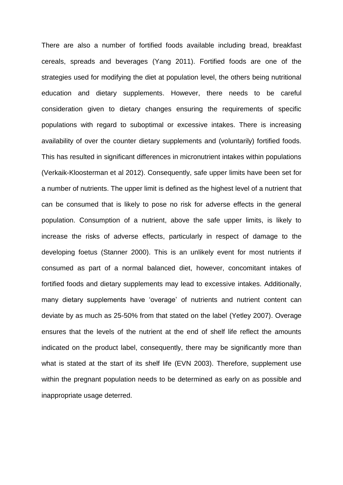There are also a number of fortified foods available including bread, breakfast cereals, spreads and beverages (Yang 2011). Fortified foods are one of the strategies used for modifying the diet at population level, the others being nutritional education and dietary supplements. However, there needs to be careful consideration given to dietary changes ensuring the requirements of specific populations with regard to suboptimal or excessive intakes. There is increasing availability of over the counter dietary supplements and (voluntarily) fortified foods. This has resulted in significant differences in micronutrient intakes within populations (Verkaik-Kloosterman et al 2012). Consequently, safe upper limits have been set for a number of nutrients. The upper limit is defined as the highest level of a nutrient that can be consumed that is likely to pose no risk for adverse effects in the general population. Consumption of a nutrient, above the safe upper limits, is likely to increase the risks of adverse effects, particularly in respect of damage to the developing foetus (Stanner 2000). This is an unlikely event for most nutrients if consumed as part of a normal balanced diet, however, concomitant intakes of fortified foods and dietary supplements may lead to excessive intakes. Additionally, many dietary supplements have 'overage' of nutrients and nutrient content can deviate by as much as 25-50% from that stated on the label (Yetley 2007). Overage ensures that the levels of the nutrient at the end of shelf life reflect the amounts indicated on the product label, consequently, there may be significantly more than what is stated at the start of its shelf life (EVN 2003). Therefore, supplement use within the pregnant population needs to be determined as early on as possible and inappropriate usage deterred.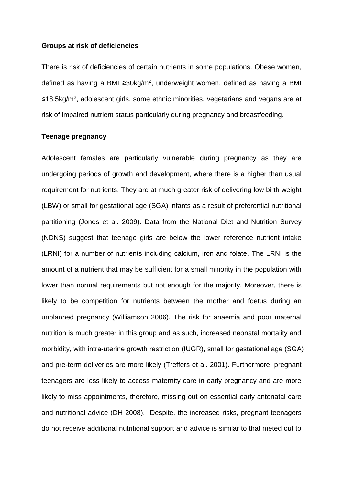## **Groups at risk of deficiencies**

There is risk of deficiencies of certain nutrients in some populations. Obese women, defined as having a BMI ≥30kg/m<sup>2</sup>, underweight women, defined as having a BMI ≤18.5kg/m<sup>2</sup>, adolescent girls, some ethnic minorities, vegetarians and vegans are at risk of impaired nutrient status particularly during pregnancy and breastfeeding.

# **Teenage pregnancy**

Adolescent females are particularly vulnerable during pregnancy as they are undergoing periods of growth and development, where there is a higher than usual requirement for nutrients. They are at much greater risk of delivering low birth weight (LBW) or small for gestational age (SGA) infants as a result of preferential nutritional partitioning (Jones et al. 2009). Data from the National Diet and Nutrition Survey (NDNS) suggest that teenage girls are below the lower reference nutrient intake (LRNI) for a number of nutrients including calcium, iron and folate. The LRNI is the amount of a nutrient that may be sufficient for a small minority in the population with lower than normal requirements but not enough for the majority. Moreover, there is likely to be competition for nutrients between the mother and foetus during an unplanned pregnancy (Williamson 2006). The risk for anaemia and poor maternal nutrition is much greater in this group and as such, increased neonatal mortality and morbidity, with intra-uterine growth restriction (IUGR), small for gestational age (SGA) and pre-term deliveries are more likely (Treffers et al. 2001). Furthermore, pregnant teenagers are less likely to access maternity care in early pregnancy and are more likely to miss appointments, therefore, missing out on essential early antenatal care and nutritional advice (DH 2008). Despite, the increased risks, pregnant teenagers do not receive additional nutritional support and advice is similar to that meted out to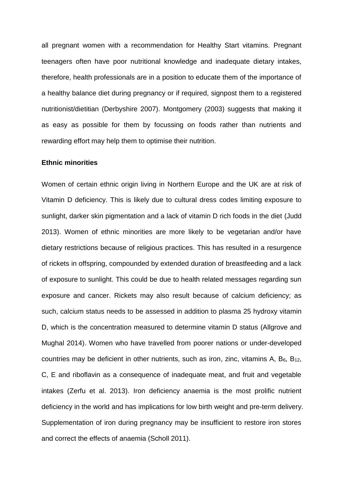all pregnant women with a recommendation for Healthy Start vitamins. Pregnant teenagers often have poor nutritional knowledge and inadequate dietary intakes, therefore, health professionals are in a position to educate them of the importance of a healthy balance diet during pregnancy or if required, signpost them to a registered nutritionist/dietitian (Derbyshire 2007). Montgomery (2003) suggests that making it as easy as possible for them by focussing on foods rather than nutrients and rewarding effort may help them to optimise their nutrition.

# **Ethnic minorities**

Women of certain ethnic origin living in Northern Europe and the UK are at risk of Vitamin D deficiency. This is likely due to cultural dress codes limiting exposure to sunlight, darker skin pigmentation and a lack of vitamin D rich foods in the diet (Judd 2013). Women of ethnic minorities are more likely to be vegetarian and/or have dietary restrictions because of religious practices. This has resulted in a resurgence of rickets in offspring, compounded by extended duration of breastfeeding and a lack of exposure to sunlight. This could be due to health related messages regarding sun exposure and cancer. Rickets may also result because of calcium deficiency; as such, calcium status needs to be assessed in addition to plasma 25 hydroxy vitamin D, which is the concentration measured to determine vitamin D status (Allgrove and Mughal 2014). Women who have travelled from poorer nations or under-developed countries may be deficient in other nutrients, such as iron, zinc, vitamins A,  $B_6$ ,  $B_{12}$ , C, E and riboflavin as a consequence of inadequate meat, and fruit and vegetable intakes (Zerfu et al. 2013). Iron deficiency anaemia is the most prolific nutrient deficiency in the world and has implications for low birth weight and pre-term delivery. Supplementation of iron during pregnancy may be insufficient to restore iron stores and correct the effects of anaemia (Scholl 2011).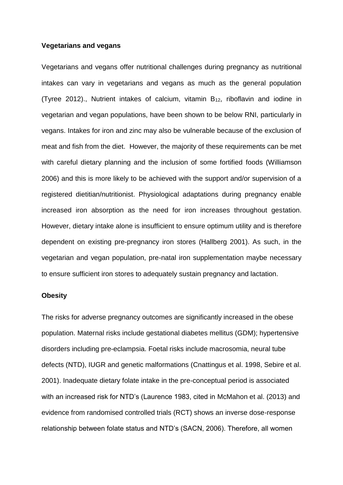#### **Vegetarians and vegans**

Vegetarians and vegans offer nutritional challenges during pregnancy as nutritional intakes can vary in vegetarians and vegans as much as the general population (Tyree 2012)., Nutrient intakes of calcium, vitamin B12, riboflavin and iodine in vegetarian and vegan populations, have been shown to be below RNI, particularly in vegans. Intakes for iron and zinc may also be vulnerable because of the exclusion of meat and fish from the diet. However, the majority of these requirements can be met with careful dietary planning and the inclusion of some fortified foods (Williamson 2006) and this is more likely to be achieved with the support and/or supervision of a registered dietitian/nutritionist. Physiological adaptations during pregnancy enable increased iron absorption as the need for iron increases throughout gestation. However, dietary intake alone is insufficient to ensure optimum utility and is therefore dependent on existing pre-pregnancy iron stores (Hallberg 2001). As such, in the vegetarian and vegan population, pre-natal iron supplementation maybe necessary to ensure sufficient iron stores to adequately sustain pregnancy and lactation.

### **Obesity**

The risks for adverse pregnancy outcomes are significantly increased in the obese population. Maternal risks include gestational diabetes mellitus (GDM); hypertensive disorders including pre-eclampsia. Foetal risks include macrosomia, neural tube defects (NTD), IUGR and genetic malformations (Cnattingus et al. 1998, Sebire et al. 2001). Inadequate dietary folate intake in the pre-conceptual period is associated with an increased risk for NTD's (Laurence 1983, cited in McMahon et al. (2013) and evidence from randomised controlled trials (RCT) shows an inverse dose-response relationship between folate status and NTD's (SACN, 2006). Therefore, all women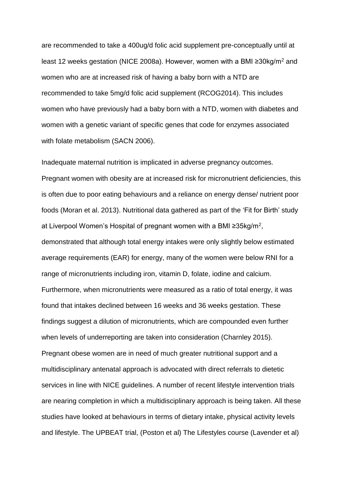are recommended to take a 400ug/d folic acid supplement pre-conceptually until at least 12 weeks gestation (NICE 2008a). However, women with a BMI ≥30kg/m<sup>2</sup> and women who are at increased risk of having a baby born with a NTD are recommended to take 5mg/d folic acid supplement (RCOG2014). This includes women who have previously had a baby born with a NTD, women with diabetes and women with a genetic variant of specific genes that code for enzymes associated with folate metabolism (SACN 2006).

Inadequate maternal nutrition is implicated in adverse pregnancy outcomes. Pregnant women with obesity are at increased risk for micronutrient deficiencies, this is often due to poor eating behaviours and a reliance on energy dense/ nutrient poor foods (Moran et al. 2013). Nutritional data gathered as part of the 'Fit for Birth' study at Liverpool Women's Hospital of pregnant women with a BMI ≥35kg/m<sup>2</sup>, demonstrated that although total energy intakes were only slightly below estimated average requirements (EAR) for energy, many of the women were below RNI for a range of micronutrients including iron, vitamin D, folate, iodine and calcium. Furthermore, when micronutrients were measured as a ratio of total energy, it was found that intakes declined between 16 weeks and 36 weeks gestation. These findings suggest a dilution of micronutrients, which are compounded even further when levels of underreporting are taken into consideration (Charnley 2015). Pregnant obese women are in need of much greater nutritional support and a multidisciplinary antenatal approach is advocated with direct referrals to dietetic services in line with NICE guidelines. A number of recent lifestyle intervention trials are nearing completion in which a multidisciplinary approach is being taken. All these studies have looked at behaviours in terms of dietary intake, physical activity levels and lifestyle. The UPBEAT trial, (Poston et al) The Lifestyles course (Lavender et al)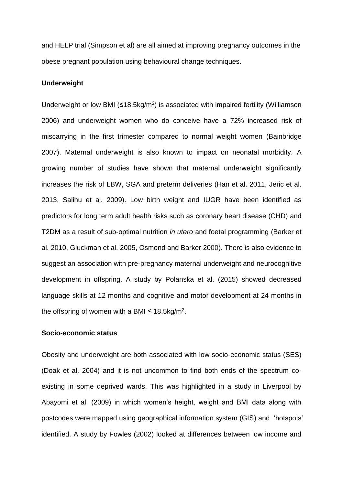and HELP trial (Simpson et al) are all aimed at improving pregnancy outcomes in the obese pregnant population using behavioural change techniques.

## **Underweight**

Underweight or low BMI ( $\leq 18.5$ kg/m<sup>2</sup>) is associated with impaired fertility (Williamson 2006) and underweight women who do conceive have a 72% increased risk of miscarrying in the first trimester compared to normal weight women (Bainbridge 2007). Maternal underweight is also known to impact on neonatal morbidity. A growing number of studies have shown that maternal underweight significantly increases the risk of LBW, SGA and preterm deliveries (Han et al. 2011, Jeric et al. 2013, Salihu et al. 2009). Low birth weight and IUGR have been identified as predictors for long term adult health risks such as coronary heart disease (CHD) and T2DM as a result of sub-optimal nutrition *in utero* and foetal programming (Barker et al. 2010, Gluckman et al. 2005, Osmond and Barker 2000). There is also evidence to suggest an association with pre-pregnancy maternal underweight and neurocognitive development in offspring. A study by Polanska et al. (2015) showed decreased language skills at 12 months and cognitive and motor development at 24 months in the offspring of women with a BMI  $\leq 18.5$ kg/m<sup>2</sup>.

## **Socio-economic status**

Obesity and underweight are both associated with low socio-economic status (SES) (Doak et al. 2004) and it is not uncommon to find both ends of the spectrum coexisting in some deprived wards. This was highlighted in a study in Liverpool by Abayomi et al. (2009) in which women's height, weight and BMI data along with postcodes were mapped using geographical information system (GIS) and 'hotspots' identified. A study by Fowles (2002) looked at differences between low income and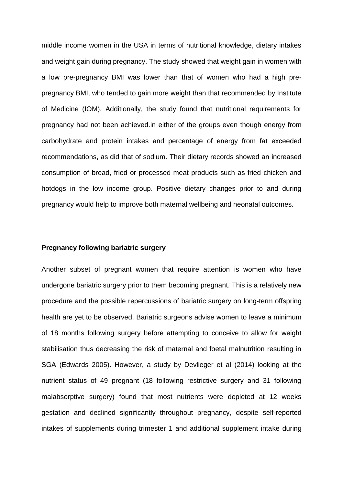middle income women in the USA in terms of nutritional knowledge, dietary intakes and weight gain during pregnancy. The study showed that weight gain in women with a low pre-pregnancy BMI was lower than that of women who had a high prepregnancy BMI, who tended to gain more weight than that recommended by Institute of Medicine (IOM). Additionally, the study found that nutritional requirements for pregnancy had not been achieved.in either of the groups even though energy from carbohydrate and protein intakes and percentage of energy from fat exceeded recommendations, as did that of sodium. Their dietary records showed an increased consumption of bread, fried or processed meat products such as fried chicken and hotdogs in the low income group. Positive dietary changes prior to and during pregnancy would help to improve both maternal wellbeing and neonatal outcomes.

### **Pregnancy following bariatric surgery**

Another subset of pregnant women that require attention is women who have undergone bariatric surgery prior to them becoming pregnant. This is a relatively new procedure and the possible repercussions of bariatric surgery on long-term offspring health are yet to be observed. Bariatric surgeons advise women to leave a minimum of 18 months following surgery before attempting to conceive to allow for weight stabilisation thus decreasing the risk of maternal and foetal malnutrition resulting in SGA (Edwards 2005). However, a study by Devlieger et al (2014) looking at the nutrient status of 49 pregnant (18 following restrictive surgery and 31 following malabsorptive surgery) found that most nutrients were depleted at 12 weeks gestation and declined significantly throughout pregnancy, despite self-reported intakes of supplements during trimester 1 and additional supplement intake during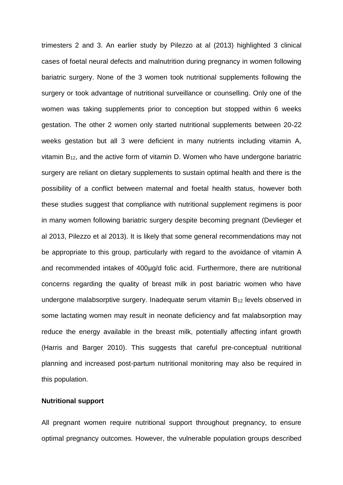trimesters 2 and 3. An earlier study by Pilezzo at al (2013) highlighted 3 clinical cases of foetal neural defects and malnutrition during pregnancy in women following bariatric surgery. None of the 3 women took nutritional supplements following the surgery or took advantage of nutritional surveillance or counselling. Only one of the women was taking supplements prior to conception but stopped within 6 weeks gestation. The other 2 women only started nutritional supplements between 20-22 weeks gestation but all 3 were deficient in many nutrients including vitamin A, vitamin B12, and the active form of vitamin D. Women who have undergone bariatric surgery are reliant on dietary supplements to sustain optimal health and there is the possibility of a conflict between maternal and foetal health status, however both these studies suggest that compliance with nutritional supplement regimens is poor in many women following bariatric surgery despite becoming pregnant (Devlieger et al 2013, Pilezzo et al 2013). It is likely that some general recommendations may not be appropriate to this group, particularly with regard to the avoidance of vitamin A and recommended intakes of 400μg/d folic acid. Furthermore, there are nutritional concerns regarding the quality of breast milk in post bariatric women who have undergone malabsorptive surgery. Inadequate serum vitamin B<sup>12</sup> levels observed in some lactating women may result in neonate deficiency and fat malabsorption may reduce the energy available in the breast milk, potentially affecting infant growth (Harris and Barger 2010). This suggests that careful pre-conceptual nutritional planning and increased post-partum nutritional monitoring may also be required in this population.

# **Nutritional support**

All pregnant women require nutritional support throughout pregnancy, to ensure optimal pregnancy outcomes. However, the vulnerable population groups described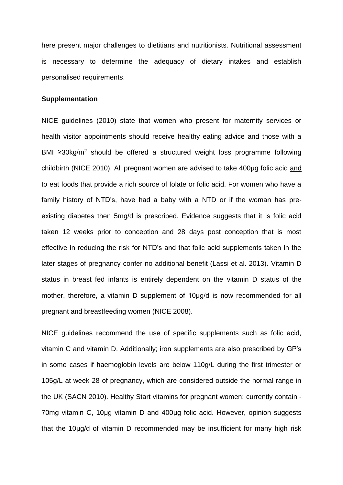here present major challenges to dietitians and nutritionists. Nutritional assessment is necessary to determine the adequacy of dietary intakes and establish personalised requirements.

#### **Supplementation**

NICE guidelines (2010) state that women who present for maternity services or health visitor appointments should receive healthy eating advice and those with a BMI ≥30kg/m<sup>2</sup> should be offered a structured weight loss programme following childbirth (NICE 2010). All pregnant women are advised to take 400μg folic acid and to eat foods that provide a rich source of folate or folic acid. For women who have a family history of NTD's, have had a baby with a NTD or if the woman has preexisting diabetes then 5mg/d is prescribed. Evidence suggests that it is folic acid taken 12 weeks prior to conception and 28 days post conception that is most effective in reducing the risk for NTD's and that folic acid supplements taken in the later stages of pregnancy confer no additional benefit (Lassi et al. 2013). Vitamin D status in breast fed infants is entirely dependent on the vitamin D status of the mother, therefore, a vitamin D supplement of 10μg/d is now recommended for all pregnant and breastfeeding women (NICE 2008).

NICE guidelines recommend the use of specific supplements such as folic acid, vitamin C and vitamin D. Additionally; iron supplements are also prescribed by GP's in some cases if haemoglobin levels are below 110g/L during the first trimester or 105g/L at week 28 of pregnancy, which are considered outside the normal range in the UK (SACN 2010). Healthy Start vitamins for pregnant women; currently contain - 70mg vitamin C, 10μg vitamin D and 400μg folic acid. However, opinion suggests that the 10μg/d of vitamin D recommended may be insufficient for many high risk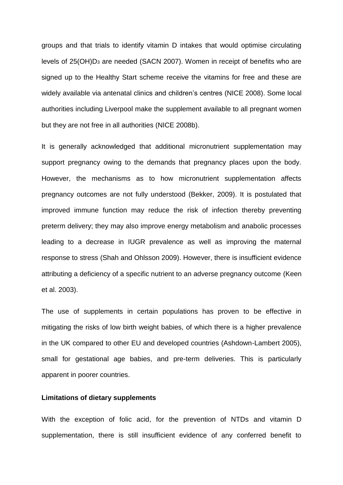groups and that trials to identify vitamin D intakes that would optimise circulating levels of 25(OH)D<sup>3</sup> are needed (SACN 2007). Women in receipt of benefits who are signed up to the Healthy Start scheme receive the vitamins for free and these are widely available via antenatal clinics and children's centres (NICE 2008). Some local authorities including Liverpool make the supplement available to all pregnant women but they are not free in all authorities (NICE 2008b).

It is generally acknowledged that additional micronutrient supplementation may support pregnancy owing to the demands that pregnancy places upon the body. However, the mechanisms as to how micronutrient supplementation affects pregnancy outcomes are not fully understood (Bekker, 2009). It is postulated that improved immune function may reduce the risk of infection thereby preventing preterm delivery; they may also improve energy metabolism and anabolic processes leading to a decrease in IUGR prevalence as well as improving the maternal response to stress (Shah and Ohlsson 2009). However, there is insufficient evidence attributing a deficiency of a specific nutrient to an adverse pregnancy outcome (Keen et al. 2003).

The use of supplements in certain populations has proven to be effective in mitigating the risks of low birth weight babies, of which there is a higher prevalence in the UK compared to other EU and developed countries (Ashdown-Lambert 2005), small for gestational age babies, and pre-term deliveries. This is particularly apparent in poorer countries.

#### **Limitations of dietary supplements**

With the exception of folic acid, for the prevention of NTDs and vitamin D supplementation, there is still insufficient evidence of any conferred benefit to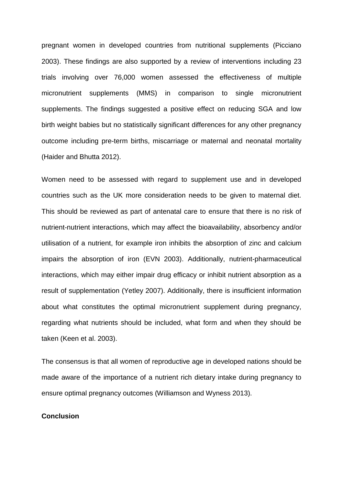pregnant women in developed countries from nutritional supplements (Picciano 2003). These findings are also supported by a review of interventions including 23 trials involving over 76,000 women assessed the effectiveness of multiple micronutrient supplements (MMS) in comparison to single micronutrient supplements. The findings suggested a positive effect on reducing SGA and low birth weight babies but no statistically significant differences for any other pregnancy outcome including pre-term births, miscarriage or maternal and neonatal mortality (Haider and Bhutta 2012).

Women need to be assessed with regard to supplement use and in developed countries such as the UK more consideration needs to be given to maternal diet. This should be reviewed as part of antenatal care to ensure that there is no risk of nutrient-nutrient interactions, which may affect the bioavailability, absorbency and/or utilisation of a nutrient, for example iron inhibits the absorption of zinc and calcium impairs the absorption of iron (EVN 2003). Additionally, nutrient-pharmaceutical interactions, which may either impair drug efficacy or inhibit nutrient absorption as a result of supplementation (Yetley 2007). Additionally, there is insufficient information about what constitutes the optimal micronutrient supplement during pregnancy, regarding what nutrients should be included, what form and when they should be taken (Keen et al. 2003).

The consensus is that all women of reproductive age in developed nations should be made aware of the importance of a nutrient rich dietary intake during pregnancy to ensure optimal pregnancy outcomes (Williamson and Wyness 2013).

# **Conclusion**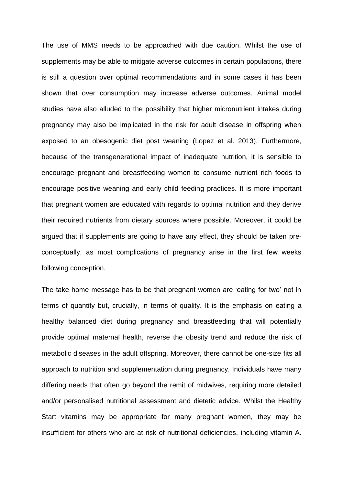The use of MMS needs to be approached with due caution. Whilst the use of supplements may be able to mitigate adverse outcomes in certain populations, there is still a question over optimal recommendations and in some cases it has been shown that over consumption may increase adverse outcomes. Animal model studies have also alluded to the possibility that higher micronutrient intakes during pregnancy may also be implicated in the risk for adult disease in offspring when exposed to an obesogenic diet post weaning (Lopez et al. 2013). Furthermore, because of the transgenerational impact of inadequate nutrition, it is sensible to encourage pregnant and breastfeeding women to consume nutrient rich foods to encourage positive weaning and early child feeding practices. It is more important that pregnant women are educated with regards to optimal nutrition and they derive their required nutrients from dietary sources where possible. Moreover, it could be argued that if supplements are going to have any effect, they should be taken preconceptually, as most complications of pregnancy arise in the first few weeks following conception.

The take home message has to be that pregnant women are 'eating for two' not in terms of quantity but, crucially, in terms of quality. It is the emphasis on eating a healthy balanced diet during pregnancy and breastfeeding that will potentially provide optimal maternal health, reverse the obesity trend and reduce the risk of metabolic diseases in the adult offspring. Moreover, there cannot be one-size fits all approach to nutrition and supplementation during pregnancy. Individuals have many differing needs that often go beyond the remit of midwives, requiring more detailed and/or personalised nutritional assessment and dietetic advice. Whilst the Healthy Start vitamins may be appropriate for many pregnant women, they may be insufficient for others who are at risk of nutritional deficiencies, including vitamin A.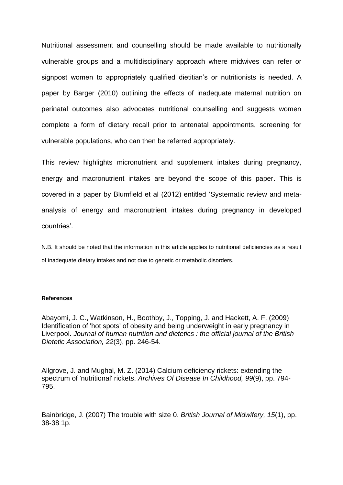Nutritional assessment and counselling should be made available to nutritionally vulnerable groups and a multidisciplinary approach where midwives can refer or signpost women to appropriately qualified dietitian's or nutritionists is needed. A paper by Barger (2010) outlining the effects of inadequate maternal nutrition on perinatal outcomes also advocates nutritional counselling and suggests women complete a form of dietary recall prior to antenatal appointments, screening for vulnerable populations, who can then be referred appropriately.

This review highlights micronutrient and supplement intakes during pregnancy, energy and macronutrient intakes are beyond the scope of this paper. This is covered in a paper by Blumfield et al (2012) entitled 'Systematic review and metaanalysis of energy and macronutrient intakes during pregnancy in developed countries'.

N.B. It should be noted that the information in this article applies to nutritional deficiencies as a result of inadequate dietary intakes and not due to genetic or metabolic disorders.

#### **References**

Abayomi, J. C., Watkinson, H., Boothby, J., Topping, J. and Hackett, A. F. (2009) Identification of 'hot spots' of obesity and being underweight in early pregnancy in Liverpool. *Journal of human nutrition and dietetics : the official journal of the British Dietetic Association, 22*(3), pp. 246-54.

Allgrove, J. and Mughal, M. Z. (2014) Calcium deficiency rickets: extending the spectrum of 'nutritional' rickets. *Archives Of Disease In Childhood, 99*(9), pp. 794- 795.

Bainbridge, J. (2007) The trouble with size 0. *British Journal of Midwifery, 15*(1), pp. 38-38 1p.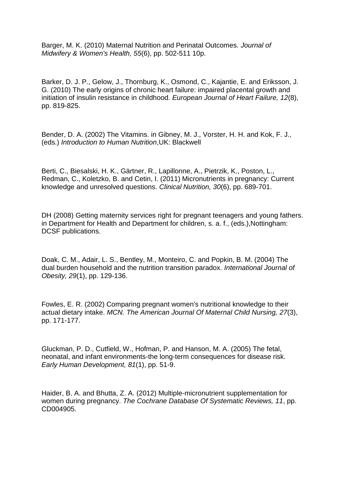Barger, M. K. (2010) Maternal Nutrition and Perinatal Outcomes. *Journal of Midwifery & Women's Health, 55*(6), pp. 502-511 10p.

Barker, D. J. P., Gelow, J., Thornburg, K., Osmond, C., Kajantie, E. and Eriksson, J. G. (2010) The early origins of chronic heart failure: impaired placental growth and initiation of insulin resistance in childhood. *European Journal of Heart Failure, 12*(8), pp. 819-825.

Bender, D. A. (2002) The Vitamins. in Gibney, M. J., Vorster, H. H. and Kok, F. J., (eds.) *Introduction to Human Nutrition*,UK: Blackwell

Berti, C., Biesalski, H. K., Gärtner, R., Lapillonne, A., Pietrzik, K., Poston, L., Redman, C., Koletzko, B. and Cetin, I. (2011) Micronutrients in pregnancy: Current knowledge and unresolved questions. *Clinical Nutrition, 30*(6), pp. 689-701.

DH (2008) Getting maternity services right for pregnant teenagers and young fathers. in Department for Health and Department for children, s. a. f., (eds.),Nottingham: DCSF publications.

Doak, C. M., Adair, L. S., Bentley, M., Monteiro, C. and Popkin, B. M. (2004) The dual burden household and the nutrition transition paradox. *International Journal of Obesity, 29*(1), pp. 129-136.

Fowles, E. R. (2002) Comparing pregnant women's nutritional knowledge to their actual dietary intake. *MCN. The American Journal Of Maternal Child Nursing, 27*(3), pp. 171-177.

Gluckman, P. D., Cutfield, W., Hofman, P. and Hanson, M. A. (2005) The fetal, neonatal, and infant environments-the long-term consequences for disease risk. *Early Human Development, 81*(1), pp. 51-9.

Haider, B. A. and Bhutta, Z. A. (2012) Multiple-micronutrient supplementation for women during pregnancy. *The Cochrane Database Of Systematic Reviews, 11*, pp. CD004905.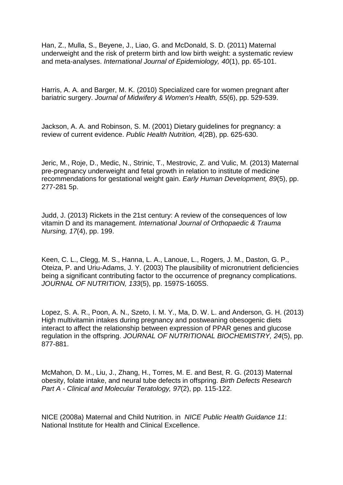Han, Z., Mulla, S., Beyene, J., Liao, G. and McDonald, S. D. (2011) Maternal underweight and the risk of preterm birth and low birth weight: a systematic review and meta-analyses. *International Journal of Epidemiology, 40*(1), pp. 65-101.

Harris, A. A. and Barger, M. K. (2010) Specialized care for women pregnant after bariatric surgery. *Journal of Midwifery & Women's Health, 55*(6), pp. 529-539.

Jackson, A. A. and Robinson, S. M. (2001) Dietary guidelines for pregnancy: a review of current evidence. *Public Health Nutrition, 4*(2B), pp. 625-630.

Jeric, M., Roje, D., Medic, N., Strinic, T., Mestrovic, Z. and Vulic, M. (2013) Maternal pre-pregnancy underweight and fetal growth in relation to institute of medicine recommendations for gestational weight gain. *Early Human Development, 89*(5), pp. 277-281 5p.

Judd, J. (2013) Rickets in the 21st century: A review of the consequences of low vitamin D and its management. *International Journal of Orthopaedic & Trauma Nursing, 17*(4), pp. 199.

Keen, C. L., Clegg, M. S., Hanna, L. A., Lanoue, L., Rogers, J. M., Daston, G. P., Oteiza, P. and Uriu-Adams, J. Y. (2003) The plausibility of micronutrient deficiencies being a significant contributing factor to the occurrence of pregnancy complications. *JOURNAL OF NUTRITION, 133*(5), pp. 1597S-1605S.

Lopez, S. A. R., Poon, A. N., Szeto, I. M. Y., Ma, D. W. L. and Anderson, G. H. (2013) High multivitamin intakes during pregnancy and postweaning obesogenic diets interact to affect the relationship between expression of PPAR genes and glucose regulation in the offspring. *JOURNAL OF NUTRITIONAL BIOCHEMISTRY, 24*(5), pp. 877-881.

McMahon, D. M., Liu, J., Zhang, H., Torres, M. E. and Best, R. G. (2013) Maternal obesity, folate intake, and neural tube defects in offspring. *Birth Defects Research Part A - Clinical and Molecular Teratology, 97*(2), pp. 115-122.

NICE (2008a) Maternal and Child Nutrition. in *NICE Public Health Guidance 11*: National Institute for Health and Clinical Excellence.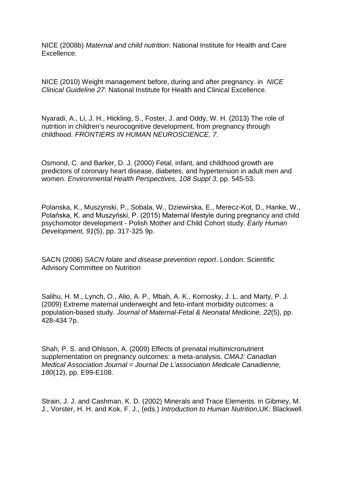NICE (2008b) *Maternal and child nutrition*: National Institute for Health and Care Excellence.

NICE (2010) Weight management before, during and after pregnancy. in *NICE Clinical Guideline 27*: National Institute for Health and Clinical Excellence.

Nyaradi, A., Li, J. H., Hickling, S., Foster, J. and Oddy, W. H. (2013) The role of nutrition in children's neurocognitive development, from pregnancy through childhood. *FRONTIERS IN HUMAN NEUROSCIENCE, 7*.

Osmond, C. and Barker, D. J. (2000) Fetal, infant, and childhood growth are predictors of coronary heart disease, diabetes, and hypertension in adult men and women. *Environmental Health Perspectives, 108 Suppl 3*, pp. 545-53.

Polanska, K., Muszynski, P., Sobala, W., Dziewirska, E., Merecz-Kot, D., Hanke, W., Polańska, K. and Muszyński, P. (2015) Maternal lifestyle during pregnancy and child psychomotor development - Polish Mother and Child Cohort study. *Early Human Development, 91*(5), pp. 317-325 9p.

SACN (2006) *SACN folate and disease prevention report*. London: Scientific Advisory Committee on Nutrition

Salihu, H. M., Lynch, O., Alio, A. P., Mbah, A. K., Kornosky, J. L. and Marty, P. J. (2009) Extreme maternal underweight and feto-infant morbidity outcomes: a population-based study. *Journal of Maternal-Fetal & Neonatal Medicine, 22*(5), pp. 428-434 7p.

Shah, P. S. and Ohlsson, A. (2009) Effects of prenatal multimicronutrient supplementation on pregnancy outcomes: a meta-analysis. *CMAJ: Canadian Medical Association Journal = Journal De L'association Medicale Canadienne, 180*(12), pp. E99-E108.

Strain, J. J. and Cashman, K. D. (2002) Minerals and Trace Elements. in Gibmey, M. J., Vorster, H. H. and Kok, F. J., (eds.) *Introduction to Human Nutrition*,UK: Blackwell.